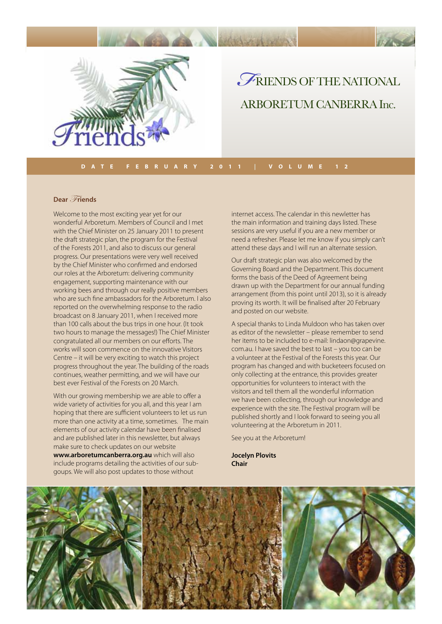

## *F* riends of the NATIONAL ARBORETUM CANBERRA Inc.

#### **Dear** Friends

Welcome to the most exciting year yet for our wonderful Arboretum. Members of Council and I met with the Chief Minister on 25 January 2011 to present the draft strategic plan, the program for the Festival of the Forests 2011, and also to discuss our general progress. Our presentations were very well received by the Chief Minister who confirmed and endorsed our roles at the Arboretum: delivering community engagement, supporting maintenance with our working bees and through our really positive members who are such fine ambassadors for the Arboretum. I also reported on the overwhelming response to the radio broadcast on 8 January 2011, when I received more than 100 calls about the bus trips in one hour. (It took two hours to manage the messages!) The Chief Minister congratulated all our members on our efforts. The works will soon commence on the innovative Visitors Centre – it will be very exciting to watch this project progress throughout the year. The building of the roads continues, weather permitting, and we will have our best ever Festival of the Forests on 20 March.

With our growing membership we are able to offer a wide variety of activities for you all, and this year I am hoping that there are sufficient volunteers to let us run more than one activity at a time, sometimes. The main elements of our activity calendar have been finalised and are published later in this newsletter, but always make sure to check updates on our website **www.arboretumcanberra.org.au** which will also include programs detailing the activities of our subgoups. We will also post updates to those without

internet access. The calendar in this newletter has the main information and training days listed. These sessions are very useful if you are a new member or need a refresher. Please let me know if you simply can't attend these days and I will run an alternate session.

Our draft strategic plan was also welcomed by the Governing Board and the Department. This document forms the basis of the Deed of Agreement being drawn up with the Department for our annual funding arrangement (from this point until 2013), so it is already proving its worth. It will be finalised after 20 February and posted on our website.

A special thanks to Linda Muldoon who has taken over as editor of the newsletter – please remember to send her items to be included to e-mail: lindaon@grapevine. com.au. I have saved the best to last – you too can be a volunteer at the Festival of the Forests this year. Our program has changed and with bucketeers focused on only collecting at the entrance, this provides greater opportunities for volunteers to interact with the visitors and tell them all the wonderful information we have been collecting, through our knowledge and experience with the site. The Festival program will be published shortly and I look forward to seeing you all volunteering at the Arboretum in 2011.

See you at the Arboretum!

**Jocelyn Plovits Chair**

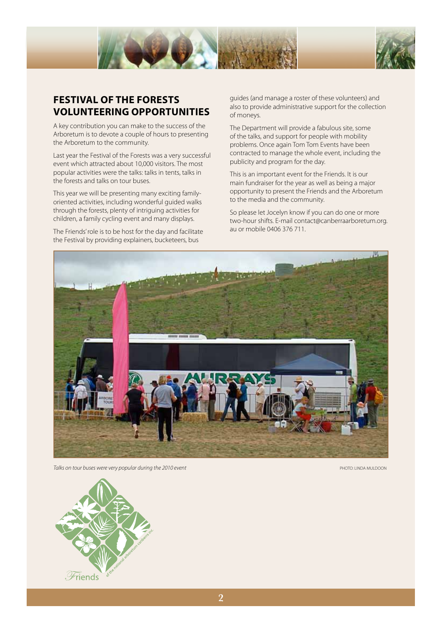



## **FESTIVAL OF THE FORESTS VOLUNTEERING OPPORTUNITIES**

A key contribution you can make to the success of the Arboretum is to devote a couple of hours to presenting the Arboretum to the community.

Last year the Festival of the Forests was a very successful event which attracted about 10,000 visitors. The most popular activities were the talks: talks in tents, talks in the forests and talks on tour buses.

This year we will be presenting many exciting familyoriented activities, including wonderful guided walks through the forests, plenty of intriguing activities for children, a family cycling event and many displays.

The Friends' role is to be host for the day and facilitate the Festival by providing explainers, bucketeers, bus

guides (and manage a roster of these volunteers) and also to provide administrative support for the collection of moneys.

The Department will provide a fabulous site, some of the talks, and support for people with mobility problems. Once again Tom Tom Events have been contracted to manage the whole event, including the publicity and program for the day.

This is an important event for the Friends. It is our main fundraiser for the year as well as being a major opportunity to present the Friends and the Arboretum to the media and the community.

So please let Jocelyn know if you can do one or more two-hour shifts. E-mail contact@canberraarboretum.org. au or mobile 0406 376 711.



**Talks on tour buses were very popular during the 2010 event** PHOTO: LINDA MULDOON PHOTO: LINDA MULDOON

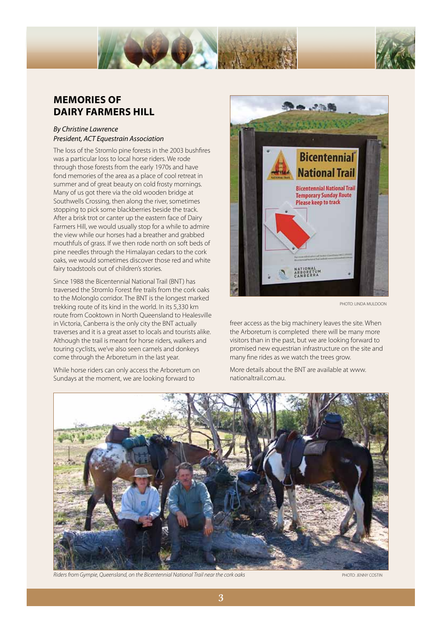

### **MEMORIES OF DAIRY FARMERS HILL**

### *By Christine Lawrence President, ACT Equestrain Association*

The loss of the Stromlo pine forests in the 2003 bushfires was a particular loss to local horse riders. We rode through those forests from the early 1970s and have fond memories of the area as a place of cool retreat in summer and of great beauty on cold frosty mornings. Many of us got there via the old wooden bridge at Southwells Crossing, then along the river, sometimes stopping to pick some blackberries beside the track. After a brisk trot or canter up the eastern face of Dairy Farmers Hill, we would usually stop for a while to admire the view while our horses had a breather and grabbed mouthfuls of grass. If we then rode north on soft beds of pine needles through the Himalayan cedars to the cork oaks, we would sometimes discover those red and white fairy toadstools out of children's stories.

Since 1988 the Bicentennial National Trail (BNT) has traversed the Stromlo Forest fire trails from the cork oaks to the Molonglo corridor. The BNT is the longest marked trekking route of its kind in the world. In its 5,330 km route from Cooktown in North Queensland to Healesville in Victoria, Canberra is the only city the BNT actually traverses and it is a great asset to locals and tourists alike. Although the trail is meant for horse riders, walkers and touring cyclists, we've also seen camels and donkeys come through the Arboretum in the last year.

While horse riders can only access the Arboretum on Sundays at the moment, we are looking forward to



PHOTO: LINDA MULDOON

freer access as the big machinery leaves the site. When the Arboretum is completed there will be many more visitors than in the past, but we are looking forward to promised new equestrian infrastructure on the site and many fine rides as we watch the trees grow.

More details about the BNT are available at www. nationaltrail.com.au.



Riders from Gympie, Queensland, on the Bicentennial National Trail near the cork oaks **PHOTO: JENNY COSTIN** PHOTO: JENNY COSTIN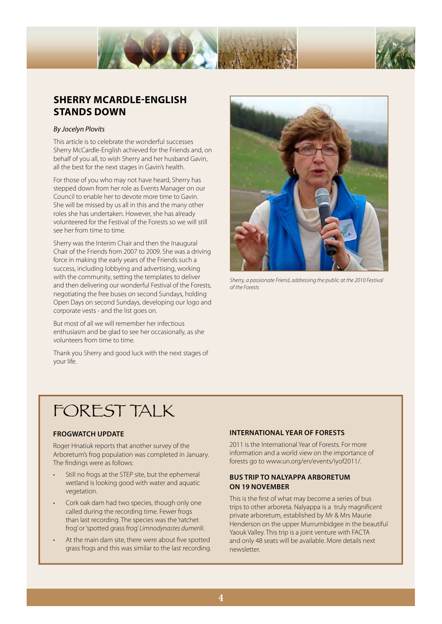

## **SHERRY McARDLE-ENGLISH STANDS DOWN**

#### *By Jocelyn Plovits*

This article is to celebrate the wonderful successes Sherry McCardle-English achieved for the Friends and, on behalf of you all, to wish Sherry and her husband Gavin, all the best for the next stages in Gavin's health.

For those of you who may not have heard, Sherry has stepped down from her role as Events Manager on our Council to enable her to devote more time to Gavin. She will be missed by us all in this and the many other roles she has undertaken. However, she has already volunteered for the Festival of the Forests so we will still see her from time to time.

Sherry was the Interim Chair and then the Inaugural Chair of the Friends from 2007 to 2009. She was a driving force in making the early years of the Friends such a success, including lobbying and advertising, working with the community, setting the templates to deliver and then delivering our wonderful Festival of the Forests, negotiating the free buses on second Sundays, holding Open Days on second Sundays, developing our logo and corporate vests - and the list goes on.

But most of all we will remember her infectious enthusiasm and be glad to see her occasionally, as she volunteers from time to time.

Thank you Sherry and good luck with the next stages of your life.



*Sherry, a passionate Friend, addressing the public at the 2010 Festival of the Forests*

## FOREST TALK

#### **FROGWATCH UPDATE**

Roger Hnatiuk reports that another survey of the Arboretum's frog population was completed in January. The findings were as follows:

- Still no frogs at the STEP site, but the ephemeral wetland is looking good with water and aquatic vegetation.
- Cork oak dam had two species, though only one called during the recording time. Fewer frogs than last recording. The species was the 'ratchet frog' or 'spotted grass frog' *Limnodynastes dumerili*.
- At the main dam site, there were about five spotted grass frogs and this was similar to the last recording.

#### **INTERNATIONAL YEAR OF FORESTS**

2011 is the International Year of Forests. For more information and a world view on the importance of forests go to www.un.org/en/events/iyof2011/.

#### **BUS TRIP TO NALYAPPA ARBORETUM ON 19 NOVEMBER**

This is the first of what may become a series of bus trips to other arboreta. Nalyappa is a truly magnificent private arboretum, established by Mr & Mrs Maurie Henderson on the upper Murrumbidgee in the beautiful Yaouk Valley. This trip is a joint venture with FACTA and only 48 seats will be available. More details next newsletter.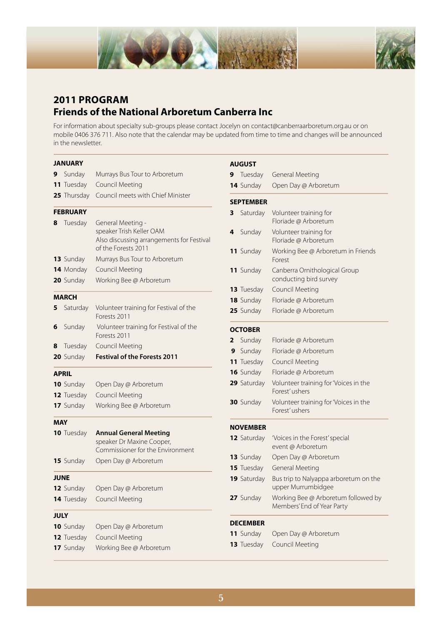



## **2011 PROGRAM Friends of the National Arboretum Canberra Inc**

For information about specialty sub-groups please contact Jocelyn on contact@canberraarboretum.org.au or on mobile 0406 376 711. Also note that the calendar may be updated from time to time and changes will be announced in the newsletter.

|              | <b>JANUARY</b>                      |                                                                                                                   |  |  |  |
|--------------|-------------------------------------|-------------------------------------------------------------------------------------------------------------------|--|--|--|
| 9            | Sunday                              | Murrays Bus Tour to Arboretum                                                                                     |  |  |  |
|              | 11 Tuesday                          | <b>Council Meeting</b>                                                                                            |  |  |  |
|              | 25 Thursday                         | Council meets with Chief Minister                                                                                 |  |  |  |
|              | <b>FEBRUARY</b>                     |                                                                                                                   |  |  |  |
| 8            | Tuesday                             | General Meeting -<br>speaker Trish Keller OAM<br>Also discussing arrangements for Festival<br>of the Forests 2011 |  |  |  |
|              | 13 Sunday                           | Murrays Bus Tour to Arboretum                                                                                     |  |  |  |
|              | 14 Monday                           | <b>Council Meeting</b>                                                                                            |  |  |  |
|              | 20 Sunday                           | Working Bee @ Arboretum                                                                                           |  |  |  |
| <b>MARCH</b> |                                     |                                                                                                                   |  |  |  |
| 5            | Saturday                            | Volunteer training for Festival of the<br>Forests 2011                                                            |  |  |  |
| 6            | Sunday                              | Volunteer training for Festival of the<br>Forests 2011                                                            |  |  |  |
| 8            | Tuesday                             | <b>Council Meeting</b>                                                                                            |  |  |  |
|              | 20 Sunday                           | <b>Festival of the Forests 2011</b>                                                                               |  |  |  |
|              | <b>APRIL</b>                        |                                                                                                                   |  |  |  |
|              | 10 Sunday                           | Open Day @ Arboretum                                                                                              |  |  |  |
|              | 12 Tuesday                          | <b>Council Meeting</b>                                                                                            |  |  |  |
|              | 17 Sunday                           | Working Bee @ Arboretum                                                                                           |  |  |  |
| <b>MAY</b>   |                                     |                                                                                                                   |  |  |  |
|              | 10 Tuesday                          | <b>Annual General Meeting</b><br>speaker Dr Maxine Cooper,<br>Commissioner for the Environment                    |  |  |  |
|              | 15 Sunday                           | Open Day @ Arboretum                                                                                              |  |  |  |
| <b>JUNE</b>  |                                     |                                                                                                                   |  |  |  |
|              | 12 Sunday                           | Open Day @ Arboretum                                                                                              |  |  |  |
|              | 14 Tuesday                          | <b>Council Meeting</b>                                                                                            |  |  |  |
| <b>JULY</b>  |                                     |                                                                                                                   |  |  |  |
|              | 10 Sunday                           | Open Day @ Arboretum                                                                                              |  |  |  |
|              | $\bullet$ $\bullet$ $\top$ and also | $C = 1$ and $C = 1$ and $C = 1$                                                                                   |  |  |  |

**12** Tuesday Council Meeting **17** Sunday Working Bee @ Arboretum

#### **AUGUST**

| 9 | Tuesday          | <b>General Meeting</b>                                            |
|---|------------------|-------------------------------------------------------------------|
|   | 14 Sunday        | Open Day @ Arboretum                                              |
|   | <b>SEPTEMBER</b> |                                                                   |
| 3 | Saturday         | Volunteer training for<br>Floriade @ Arboretum                    |
| 4 | Sunday           | Volunteer training for<br>Floriade @ Arboretum                    |
|   | 11 Sunday        | Working Bee @ Arboretum in Friends<br>Forest                      |
|   | 11 Sunday        | Canberra Ornithological Group<br>conducting bird survey           |
|   | 13 Tuesday       | Council Meeting                                                   |
|   | 18 Sunday        | Floriade @ Arboretum                                              |
|   | 25 Sunday        | Floriade @ Arboretum                                              |
|   | <b>OCTOBER</b>   |                                                                   |
| 2 | Sunday           | Floriade @ Arboretum                                              |
| 9 | Sunday           | Floriade @ Arboretum                                              |
|   | 11 Tuesday       | <b>Council Meeting</b>                                            |
|   | 16 Sunday        | Floriade @ Arboretum                                              |
|   | 29 Saturday      | Volunteer training for 'Voices in the<br>Forest' ushers           |
|   | 30 Sunday        | Volunteer training for 'Voices in the<br>Forest'ushers            |
|   | <b>NOVEMBER</b>  |                                                                   |
|   | 12 Saturday      | 'Voices in the Forest' special<br>event @ Arboretum               |
|   | 13 Sunday        | Open Day @ Arboretum                                              |
|   | 15 Tuesday       | <b>General Meeting</b>                                            |
|   | 19 Saturday      | Bus trip to Nalyappa arboretum on the<br>upper Murrumbidgee       |
|   | 27 Sunday        | Working Bee @ Arboretum followed by<br>Members' End of Year Party |
|   | <b>DECEMBER</b>  |                                                                   |
|   | 11 Sunday        | Open Day @ Arboretum                                              |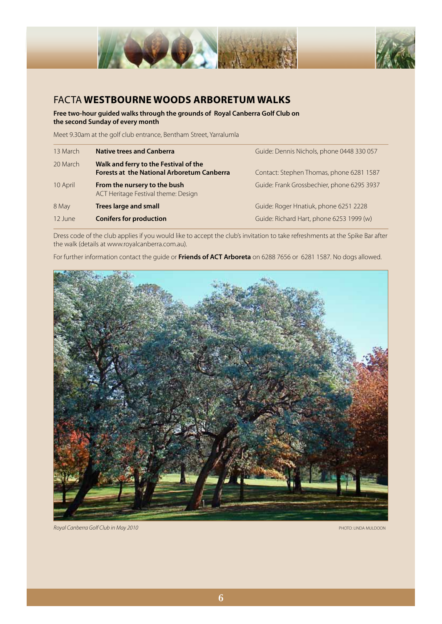

## FACTA **WESTBOURNE WOODS ARBORETUM WALKS**

**Free two-hour guided walks through the grounds of Royal Canberra Golf Club on the second Sunday of every month** 

Meet 9.30am at the golf club entrance, Bentham Street, Yarralumla

| 13 March | <b>Native trees and Canberra</b>                                                           | Guide: Dennis Nichols, phone 0448 330 057  |
|----------|--------------------------------------------------------------------------------------------|--------------------------------------------|
| 20 March | Walk and ferry to the Festival of the<br><b>Forests at the National Arboretum Canberra</b> | Contact: Stephen Thomas, phone 6281 1587   |
| 10 April | From the nursery to the bush<br>ACT Heritage Festival theme: Design                        | Guide: Frank Grossbechier, phone 6295 3937 |
| 8 May    | <b>Trees large and small</b>                                                               | Guide: Roger Hnatiuk, phone 6251 2228      |
| 12 June  | <b>Conifers for production</b>                                                             | Guide: Richard Hart, phone 6253 1999 (w)   |

Dress code of the club applies if you would like to accept the club's invitation to take refreshments at the Spike Bar after the walk (details at www.royalcanberra.com.au).

For further information contact the guide or **Friends of ACT Arboreta** on 6288 7656 or 6281 1587. No dogs allowed.



*Royal Canberra Golf Club in May 2010* PHOTO: LINDA MULDOON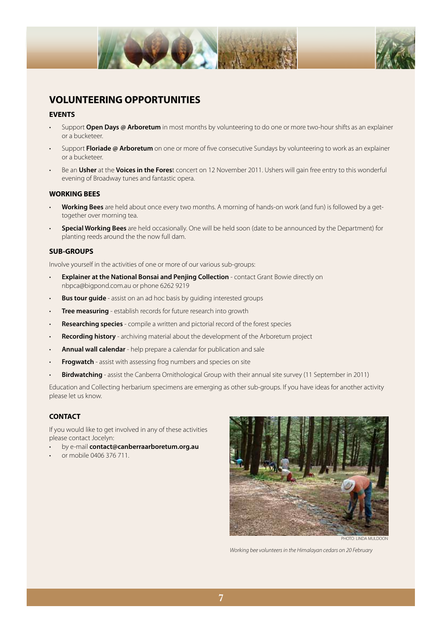



## **VOLUNTEERING OPPORTUNITIES**

#### **EVENTS**

- Support **Open Days @ Arboretum** in most months by volunteering to do one or more two-hour shifts as an explainer or a bucketeer.
- Support **Floriade @ Arboretum** on one or more of five consecutive Sundays by volunteering to work as an explainer or a bucketeer.
- Be an **Usher** at the **Voices in the Fores**t concert on 12 November 2011. Ushers will gain free entry to this wonderful evening of Broadway tunes and fantastic opera.

#### **WORKING BEES**

- **Working Bees** are held about once every two months. A morning of hands-on work (and fun) is followed by a gettogether over morning tea.
- **Special Working Bees** are held occasionally. One will be held soon (date to be announced by the Department) for planting reeds around the the now full dam.

#### **SUB-GROUPS**

Involve yourself in the activities of one or more of our various sub-groups:

- **Explainer at the National Bonsai and Penjing Collection** contact Grant Bowie directly on nbpca@bigpond.com.au or phone 6262 9219
- **Bus tour guide** assist on an ad hoc basis by guiding interested groups
- **Tree measuring** establish records for future research into growth
- **Researching species** compile a written and pictorial record of the forest species
- **Recording history** archiving material about the development of the Arboretum project
- **Annual wall calendar** help prepare a calendar for publication and sale
- **Frogwatch** assist with assessing frog numbers and species on site
- **Birdwatching** assist the Canberra Ornithological Group with their annual site survey (11 September in 2011)

Education and Collecting herbarium specimens are emerging as other sub-groups. If you have ideas for another activity please let us know.

#### **CONTACT**

If you would like to get involved in any of these activities please contact Jocelyn:

- by e-mail **contact@canberraarboretum.org.au**
- or mobile 0406 376 711.



PHOTO: LINDA MULDOON

*Working bee volunteers in the Himalayan cedars on 20 February*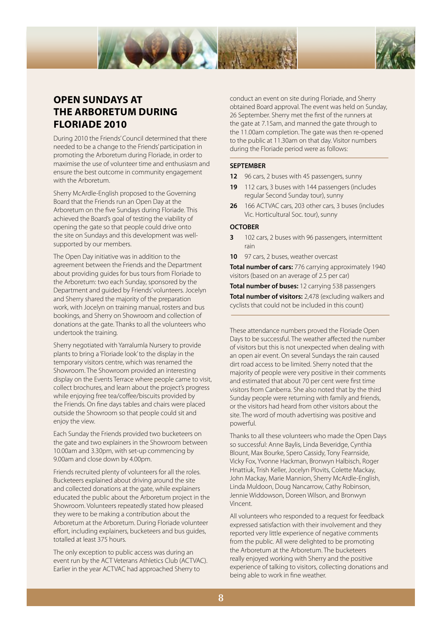

## **OPEN SUNDAYS AT THE ARBORETUM DURING FLORIADE 2010**

During 2010 the Friends' Council determined that there needed to be a change to the Friends' participation in promoting the Arboretum during Floriade, in order to maximise the use of volunteer time and enthusiasm and ensure the best outcome in community engagement with the Arboretum.

Sherry McArdle-English proposed to the Governing Board that the Friends run an Open Day at the Arboretum on the five Sundays during Floriade. This achieved the Board's goal of testing the viability of opening the gate so that people could drive onto the site on Sundays and this development was wellsupported by our members.

The Open Day initiative was in addition to the agreement between the Friends and the Department about providing guides for bus tours from Floriade to the Arboretum: two each Sunday, sponsored by the Department and guided by Friends' volunteers. Jocelyn and Sherry shared the majority of the preparation work, with Jocelyn on training manual, rosters and bus bookings, and Sherry on Showroom and collection of donations at the gate. Thanks to all the volunteers who undertook the training.

Sherry negotiated with Yarralumla Nursery to provide plants to bring a 'Floriade look' to the display in the temporary visitors centre, which was renamed the Showroom. The Showroom provided an interesting display on the Events Terrace where people came to visit, collect brochures, and learn about the project's progress while enjoying free tea/coffee/biscuits provided by the Friends. On fine days tables and chairs were placed outside the Showroom so that people could sit and enjoy the view.

Each Sunday the Friends provided two bucketeers on the gate and two explainers in the Showroom between 10.00am and 3.30pm, with set-up commencing by 9.00am and close down by 4.00pm.

Friends recruited plenty of volunteers for all the roles. Bucketeers explained about driving around the site and collected donations at the gate, while explainers educated the public about the Arboretum project in the Showroom. Volunteers repeatedly stated how pleased they were to be making a contribution about the Arboretum at the Arboretum. During Floriade volunteer effort, including explainers, bucketeers and bus guides, totalled at least 375 hours.

The only exception to public access was during an event run by the ACT Veterans Athletics Club (ACTVAC). Earlier in the year ACTVAC had approached Sherry to

conduct an event on site during Floriade, and Sherry obtained Board approval. The event was held on Sunday, 26 September. Sherry met the first of the runners at the gate at 7.15am, and manned the gate through to the 11.00am completion. The gate was then re-opened to the public at 11.30am on that day. Visitor numbers during the Floriade period were as follows:

#### **SEPTEMBER**

- **12** 96 cars, 2 buses with 45 passengers, sunny
- **19** 112 cars, 3 buses with 144 passengers (includes regular Second Sunday tour), sunny
- **26** 166 ACTVAC cars, 203 other cars, 3 buses (includes Vic. Horticultural Soc. tour), sunny

#### **OCTOBER**

- **3** 102 cars, 2 buses with 96 passengers, intermittent rain
- **10** 97 cars, 2 buses, weather overcast

**Total number of cars:** 776 carrying approximately 1940 visitors (based on an average of 2.5 per car)

**Total number of buses:** 12 carrying 538 passengers

**Total number of visitors:** 2,478 (excluding walkers and cyclists that could not be included in this count)

These attendance numbers proved the Floriade Open Days to be successful. The weather affected the number of visitors but this is not unexpected when dealing with an open air event. On several Sundays the rain caused dirt road access to be limited. Sherry noted that the majority of people were very positive in their comments and estimated that about 70 per cent were first time visitors from Canberra. She also noted that by the third Sunday people were returning with family and friends, or the visitors had heard from other visitors about the site. The word of mouth advertising was positive and powerful.

Thanks to all these volunteers who made the Open Days so successful: Anne Baylis, Linda Beveridge, Cynthia Blount, Max Bourke, Spero Cassidy, Tony Fearnside, Vicky Fox, Yvonne Hackman, Bronwyn Halbisch, Roger Hnattiuk, Trish Keller, Jocelyn Plovits, Colette Mackay, John Mackay, Marie Mannion, Sherry McArdle-English, Linda Muldoon, Doug Nancarrow, Cathy Robinson, Jennie Widdowson, Doreen Wilson, and Bronwyn Vincent.

All volunteers who responded to a request for feedback expressed satisfaction with their involvement and they reported very little experience of negative comments from the public. All were delighted to be promoting the Arboretum at the Arboretum. The bucketeers really enjoyed working with Sherry and the positive experience of talking to visitors, collecting donations and being able to work in fine weather.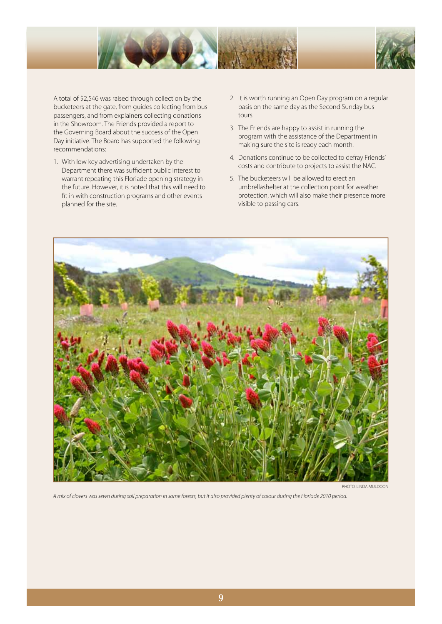



A total of \$2,546 was raised through collection by the bucketeers at the gate, from guides collecting from bus passengers, and from explainers collecting donations in the Showroom. The Friends provided a report to the Governing Board about the success of the Open Day initiative. The Board has supported the following recommendations:

- 1. With low key advertising undertaken by the Department there was sufficient public interest to warrant repeating this Floriade opening strategy in the future. However, it is noted that this will need to fit in with construction programs and other events planned for the site.
- 2. It is worth running an Open Day program on a regular basis on the same day as the Second Sunday bus tours.
- 3. The Friends are happy to assist in running the program with the assistance of the Department in making sure the site is ready each month.
- 4. Donations continue to be collected to defray Friends' costs and contribute to projects to assist the NAC.
- 5. The bucketeers will be allowed to erect an umbrellashelter at the collection point for weather protection, which will also make their presence more visible to passing cars.



PHOTO: LINDA MULDOON

*A mix of clovers was sewn during soil preparation in some forests, but it also provided plenty of colour during the Floriade 2010 period.*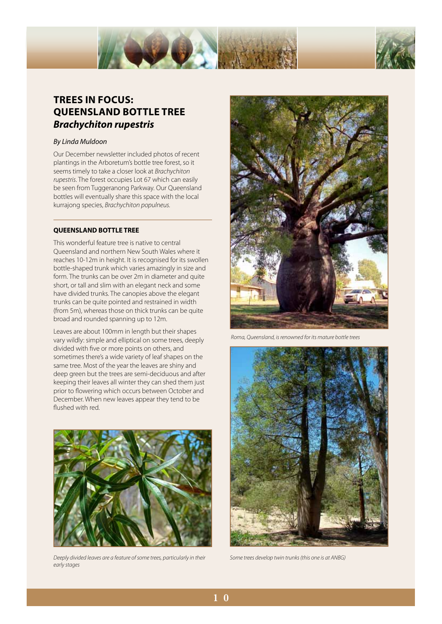



## **TREES IN FOCUS: QUEENSLAND BOTTLE TREE** *Brachychiton rupestris*

#### *By Linda Muldoon*

Our December newsletter included photos of recent plantings in the Arboretum's bottle tree forest, so it seems timely to take a closer look at *Brachychiton rupestris*. The forest occupies Lot 67 which can easily be seen from Tuggeranong Parkway. Our Queensland bottles will eventually share this space with the local kurrajong species, *Brachychiton populneus.*

#### **QUEENSLAND BOTTLE TREE**

This wonderful feature tree is native to central Queensland and northern New South Wales where it reaches 10-12m in height. It is recognised for its swollen bottle-shaped trunk which varies amazingly in size and form. The trunks can be over 2m in diameter and quite short, or tall and slim with an elegant neck and some have divided trunks. The canopies above the elegant trunks can be quite pointed and restrained in width (from 5m), whereas those on thick trunks can be quite broad and rounded spanning up to 12m.

Leaves are about 100mm in length but their shapes vary wildly: simple and elliptical on some trees, deeply divided with five or more points on others, and sometimes there's a wide variety of leaf shapes on the same tree. Most of the year the leaves are shiny and deep green but the trees are semi-deciduous and after keeping their leaves all winter they can shed them just prior to flowering which occurs between October and December. When new leaves appear they tend to be flushed with red.



*Deeply divided leaves are a feature of some trees, particularly in their early stages* 



 *Roma, Queensland, is renowned for its mature bottle trees* 



*Some trees develop twin trunks (this one is at ANBG)*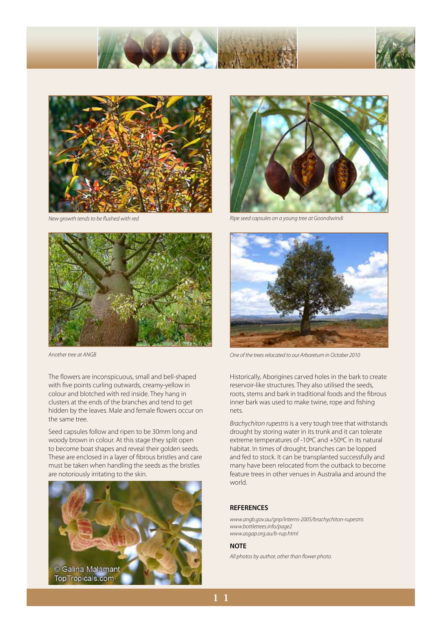





*New growth tends to be flushed with red* 



The flowers are inconspicuous, small and bell-shaped with five points curling outwards, creamy-yellow in colour and blotched with red inside. They hang in clusters at the ends of the branches and tend to get hidden by the leaves. Male and female flowers occur on the same tree.

Seed capsules follow and ripen to be 30mm long and woody brown in colour. At this stage they split open to become boat shapes and reveal their golden seeds. These are enclosed in a layer of fibrous bristles and care must be taken when handling the seeds as the bristles are notoriously irritating to the skin.





*Ripe seed capsules on a young tree at Goondiwindi* 



*Another tree at ANGB One of the trees relocated to our Arboretum in October 2010* 

Historically, Aborigines carved holes in the bark to create reservoir-like structures. They also utilised the seeds, roots, stems and bark in traditional foods and the fibrous inner bark was used to make twine, rope and fishing nets.

*Brachychiton rupestris* is a very tough tree that withstands drought by storing water in its trunk and it can tolerate extreme temperatures of -10ºC and +50ºC in its natural habitat. In times of drought, branches can be lopped and fed to stock. It can be transplanted successfully and many have been relocated from the outback to become feature trees in other venues in Australia and around the world.

#### **REFERENCES**

*www.angb.gov.au/gnp/interns-2005/brachychiton-rupestris www.bottletrees.info/page2 www.asgap.org.au/b-rup.html* 

#### **NOTE**

*All photos by author, other than flower photo.*